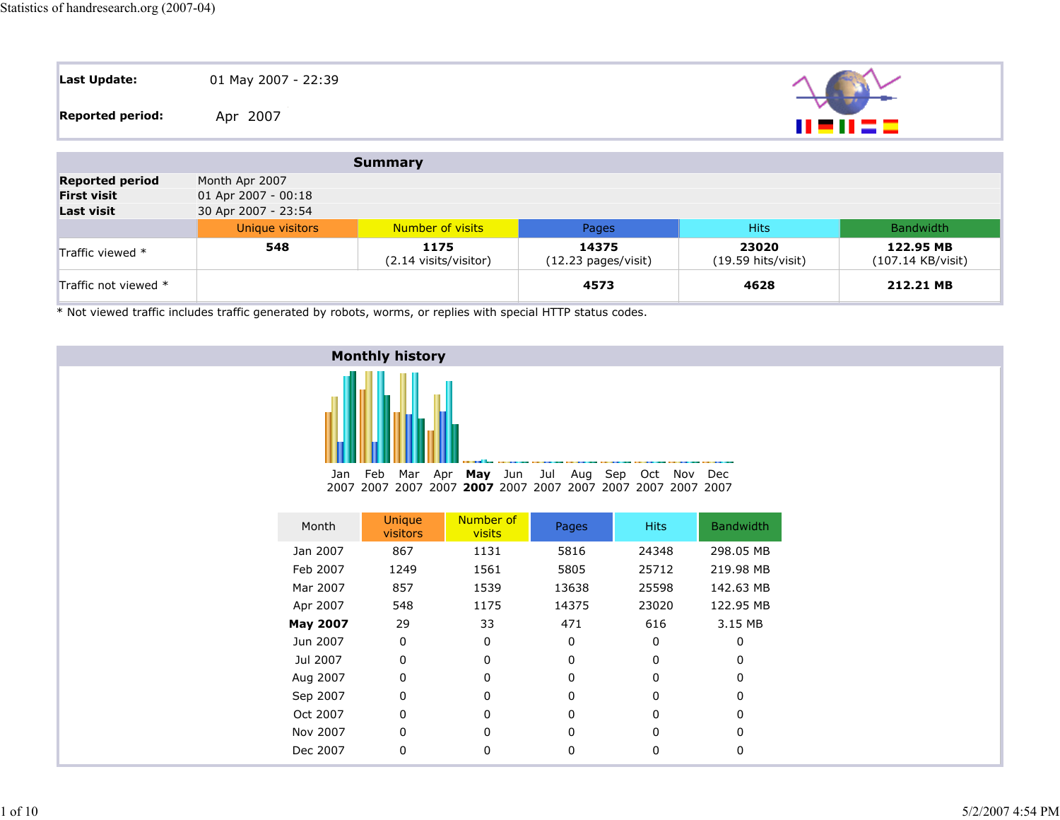| Last Update:            | 01 May 2007 - 22:39 |             |
|-------------------------|---------------------|-------------|
| <b>Reported period:</b> | Apr 2007            | 11 = 11 = = |
|                         |                     |             |

|                        |                     | Summary                       |                                        |                                       |                                |
|------------------------|---------------------|-------------------------------|----------------------------------------|---------------------------------------|--------------------------------|
| <b>Reported period</b> | Month Apr 2007      |                               |                                        |                                       |                                |
| <b>First visit</b>     | 01 Apr 2007 - 00:18 |                               |                                        |                                       |                                |
| <b>Last visit</b>      | 30 Apr 2007 - 23:54 |                               |                                        |                                       |                                |
|                        | Unique visitors     | <b>Number of visits</b>       | Pages                                  | <b>Hits</b>                           | Bandwidth                      |
| Traffic viewed *       | 548                 | 1175<br>(2.14 visits/visitor) | 14375<br>$(12.23 \text{ pages/visit})$ | 23020<br>$(19.59 \text{ hits/visit})$ | 122.95 MB<br>(107.14 KB/visit) |
| Traffic not viewed *   |                     |                               | 4573                                   | 4628                                  | 212.21 MB                      |

\* Not viewed traffic includes traffic generated by robots, worms, or replies with special HTTP status codes.



| Month           | <b>Unique</b><br>visitors | Number of<br>visits | Pages | <b>Hits</b> | <b>Bandwidth</b> |
|-----------------|---------------------------|---------------------|-------|-------------|------------------|
| Jan 2007        | 867                       | 1131                | 5816  | 24348       | 298.05 MB        |
| Feb 2007        | 1249                      | 1561                | 5805  | 25712       | 219.98 MB        |
| Mar 2007        | 857                       | 1539                | 13638 | 25598       | 142.63 MB        |
| Apr 2007        | 548                       |                     | 14375 | 23020       | 122.95 MB        |
| <b>May 2007</b> | 29                        | 33                  | 471   | 616         | 3.15 MB          |
| Jun 2007        | $\Omega$                  | $\Omega$            | 0     | 0           | 0                |
| Jul 2007        | 0                         | 0                   | 0     | 0           | 0                |
| Aug 2007        | $\Omega$                  | 0                   | 0     | 0           | 0                |
| Sep 2007        | 0                         | 0                   | 0     | 0           | 0                |
| Oct 2007        | $\mathbf{0}$              | 0                   | 0     | 0           | O                |
| Nov 2007        | $\Omega$                  | 0                   | 0     | 0           | 0                |
| Dec 2007        | 0                         |                     |       |             | 0                |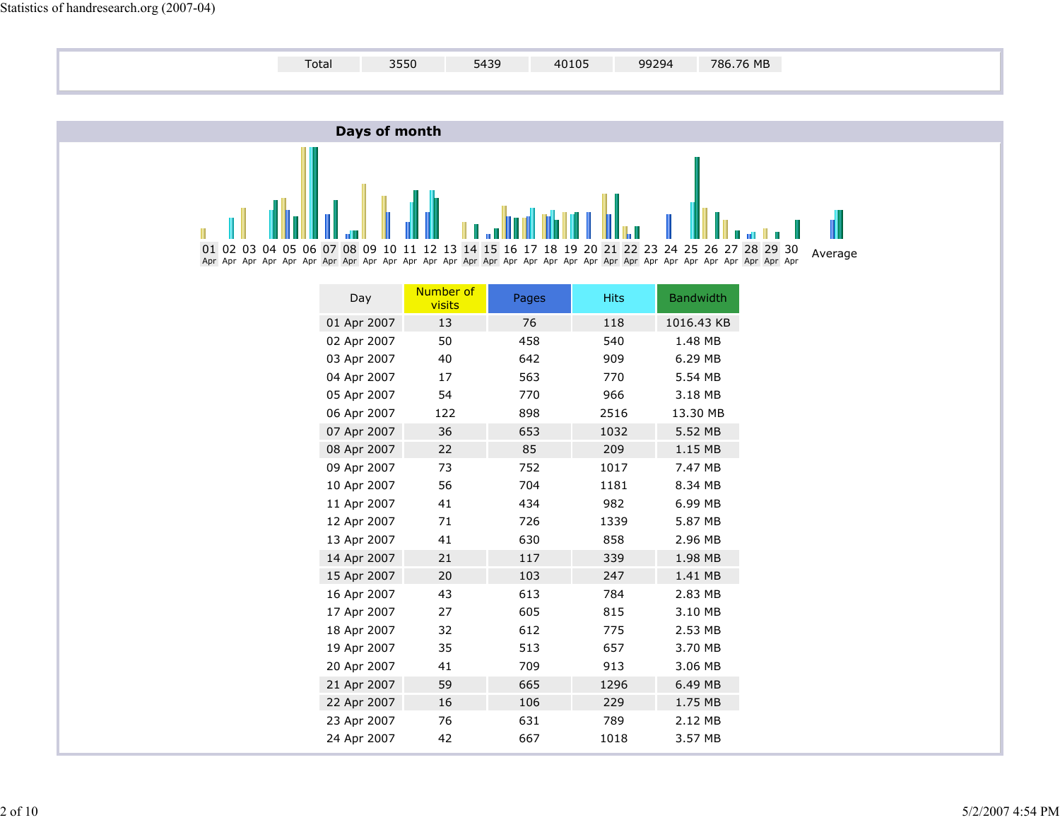

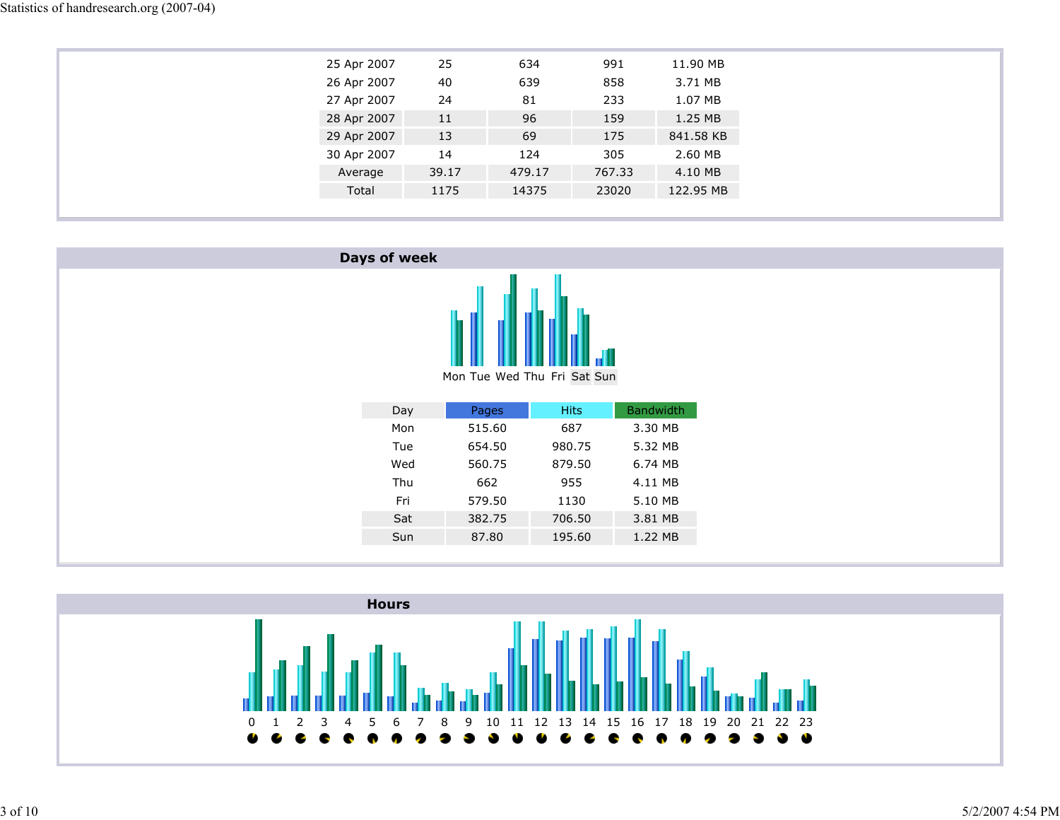| 25 Apr 2007 | 25    | 634    | 991    | 11.90 MB  |
|-------------|-------|--------|--------|-----------|
| 26 Apr 2007 | 40    | 639    | 858    | 3.71 MB   |
| 27 Apr 2007 | 24    | 81     | 233    | 1.07 MB   |
| 28 Apr 2007 | 11    | 96     | 159    | 1.25 MB   |
| 29 Apr 2007 | 13    | 69     | 175    | 841.58 KB |
| 30 Apr 2007 | 14    | 124    | 305    | 2.60 MB   |
| Average     | 39.17 | 479.17 | 767.33 | 4.10 MB   |
| Total       | 1175  | 14375  | 23020  | 122.95 MB |
|             |       |        |        |           |



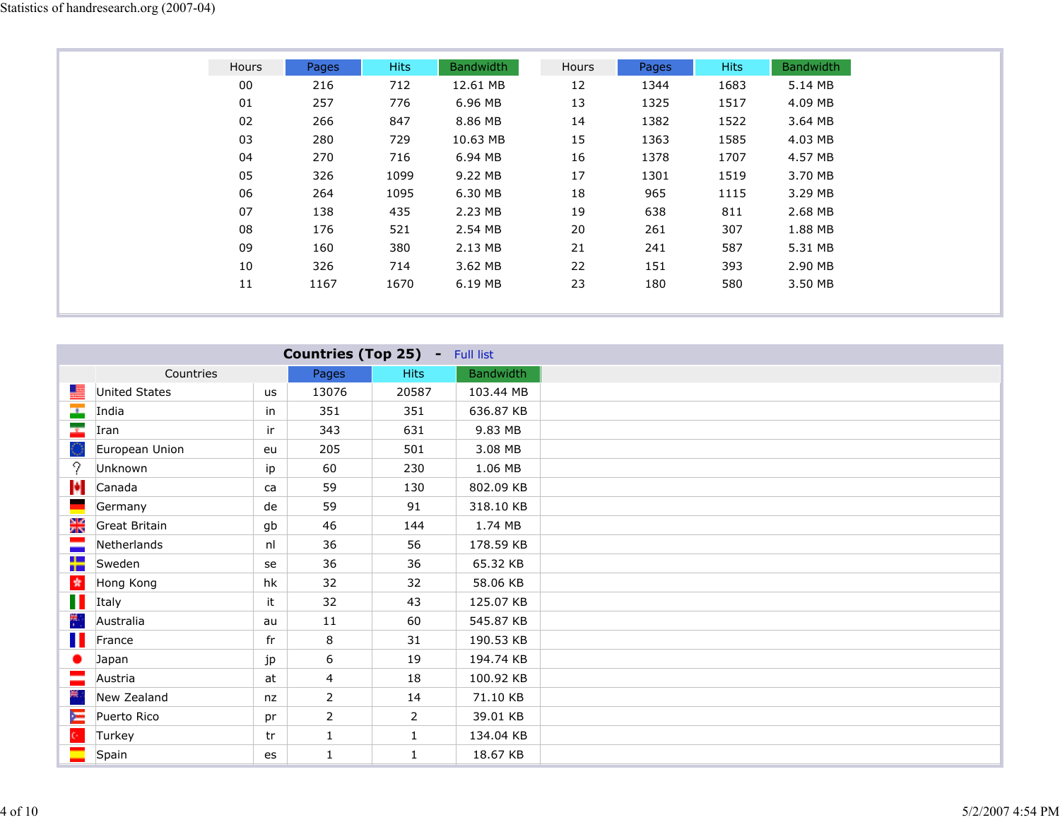| Hours | Pages | <b>Hits</b> | <b>Bandwidth</b> | Hours | Pages | Hits | <b>Bandwidth</b> |
|-------|-------|-------------|------------------|-------|-------|------|------------------|
| 00    | 216   | 712         | 12.61 MB         | 12    | 1344  | 1683 | 5.14 MB          |
| 01    | 257   | 776         | 6.96 MB          | 13    | 1325  | 1517 | 4.09 MB          |
| 02    | 266   | 847         | 8.86 MB          | 14    | 1382  | 1522 | 3.64 MB          |
| 03    | 280   | 729         | 10.63 MB         | 15    | 1363  | 1585 | 4.03 MB          |
| 04    | 270   | 716         | 6.94 MB          | 16    | 1378  | 1707 | 4.57 MB          |
| 05    | 326   | 1099        | 9.22 MB          | 17    | 1301  | 1519 | 3.70 MB          |
| 06    | 264   | 1095        | 6.30 MB          | 18    | 965   | 1115 | 3.29 MB          |
| 07    | 138   | 435         | 2.23 MB          | 19    | 638   | 811  | 2.68 MB          |
| 08    | 176   | 521         | 2.54 MB          | 20    | 261   | 307  | 1.88 MB          |
| 09    | 160   | 380         | 2.13 MB          | 21    | 241   | 587  | 5.31 MB          |
| 10    | 326   | 714         | 3.62 MB          | 22    | 151   | 393  | 2.90 MB          |
| 11    | 1167  | 1670        | 6.19 MB          | 23    | 180   | 580  | 3.50 MB          |
|       |       |             |                  |       |       |      |                  |

|                           | <b>Countries (Top 25) - Full list</b> |    |                |                |                  |  |  |  |
|---------------------------|---------------------------------------|----|----------------|----------------|------------------|--|--|--|
|                           | Countries                             |    | Pages          | <b>Hits</b>    | <b>Bandwidth</b> |  |  |  |
| a                         | United States                         | us | 13076          | 20587          | 103.44 MB        |  |  |  |
| $\overline{\phantom{a}}$  | India                                 | in | 351            | 351            | 636.87 KB        |  |  |  |
| ×.                        | Iran                                  | ir | 343            | 631            | 9.83 MB          |  |  |  |
|                           | European Union                        | eu | 205            | 501            | 3.08 MB          |  |  |  |
| 9                         | Unknown                               | ip | 60             | 230            | 1.06 MB          |  |  |  |
| N                         | Canada                                | ca | 59             | 130            | 802.09 KB        |  |  |  |
|                           | Germany                               | de | 59             | 91             | 318.10 KB        |  |  |  |
| 꽃                         | Great Britain                         | gb | 46             | 144            | 1.74 MB          |  |  |  |
| ÷                         | Netherlands                           | nl | 36             | 56             | 178.59 KB        |  |  |  |
| ╈                         | Sweden                                | se | 36             | 36             | 65.32 KB         |  |  |  |
| $\frac{1}{N}$             | Hong Kong                             | hk | 32             | 32             | 58.06 KB         |  |  |  |
| H                         | Italy                                 | it | 32             | 43             | 125.07 KB        |  |  |  |
| 帶                         | Australia                             | au | 11             | 60             | 545.87 KB        |  |  |  |
| H                         | France                                | fr | 8              | 31             | 190.53 KB        |  |  |  |
|                           | Japan                                 | jp | 6              | 19             | 194.74 KB        |  |  |  |
|                           | Austria                               | at | $\overline{4}$ | 18             | 100.92 KB        |  |  |  |
| ₹,                        | New Zealand                           | nz | 2              | 14             | 71.10 KB         |  |  |  |
| Ξ                         | Puerto Rico                           | pr | $\overline{2}$ | $\overline{2}$ | 39.01 KB         |  |  |  |
| $\mathbb{C}^{\mathbb{Z}}$ | Turkey                                | tr | $\mathbf{1}$   | $\mathbf{1}$   | 134.04 KB        |  |  |  |
|                           | Spain                                 | es | $\mathbf{1}$   | $\mathbf{1}$   | 18.67 KB         |  |  |  |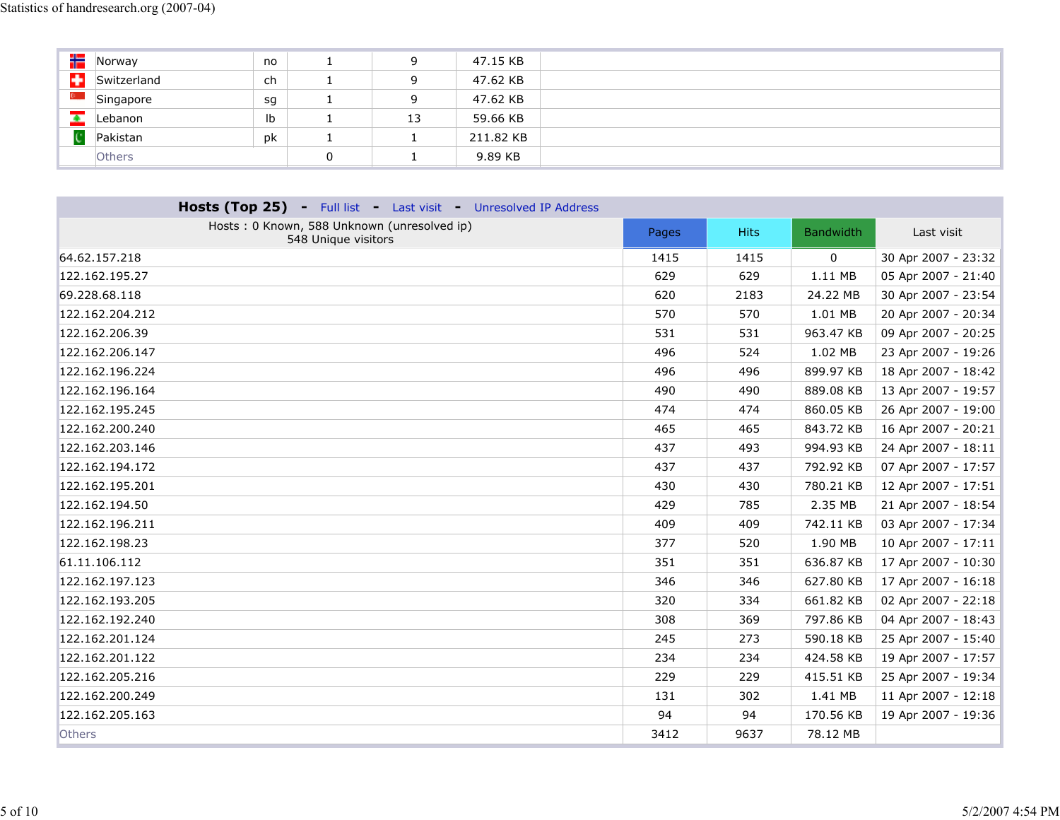| ₩ | Norway        | no |          | 9         | 47.15 KB  |
|---|---------------|----|----------|-----------|-----------|
| ÷ | Switzerland   | ch |          | 9         | 47.62 KB  |
|   | Singapore     | sg | <b>.</b> | 9         | 47.62 KB  |
|   | Lebanon       | Ib |          | 13        | 59.66 KB  |
|   | Pakistan      | pk |          | <b>T</b>  | 211.82 KB |
|   | <b>Others</b> |    | υ        | <u>д.</u> | 9.89 KB   |

| Hosts (Top 25) - Full list - Last visit - Unresolved IP Address    |       |             |                  |                     |
|--------------------------------------------------------------------|-------|-------------|------------------|---------------------|
| Hosts: 0 Known, 588 Unknown (unresolved ip)<br>548 Unique visitors | Pages | <b>Hits</b> | <b>Bandwidth</b> | Last visit          |
| 64.62.157.218                                                      | 1415  | 1415        | 0                | 30 Apr 2007 - 23:32 |
| 122.162.195.27                                                     | 629   | 629         | 1.11 MB          | 05 Apr 2007 - 21:40 |
| 69.228.68.118                                                      | 620   | 2183        | 24.22 MB         | 30 Apr 2007 - 23:54 |
| 122.162.204.212                                                    | 570   | 570         | 1.01 MB          | 20 Apr 2007 - 20:34 |
| 122.162.206.39                                                     | 531   | 531         | 963.47 KB        | 09 Apr 2007 - 20:25 |
| 122.162.206.147                                                    | 496   | 524         | 1.02 MB          | 23 Apr 2007 - 19:26 |
| 122.162.196.224                                                    | 496   | 496         | 899.97 KB        | 18 Apr 2007 - 18:42 |
| 122.162.196.164                                                    | 490   | 490         | 889.08 KB        | 13 Apr 2007 - 19:57 |
| 122.162.195.245                                                    | 474   | 474         | 860.05 KB        | 26 Apr 2007 - 19:00 |
| 122.162.200.240                                                    | 465   | 465         | 843.72 KB        | 16 Apr 2007 - 20:21 |
| 122.162.203.146                                                    | 437   | 493         | 994.93 KB        | 24 Apr 2007 - 18:11 |
| 122.162.194.172                                                    | 437   | 437         | 792.92 KB        | 07 Apr 2007 - 17:57 |
| 122.162.195.201                                                    | 430   | 430         | 780.21 KB        | 12 Apr 2007 - 17:51 |
| 122.162.194.50                                                     | 429   | 785         | 2.35 MB          | 21 Apr 2007 - 18:54 |
| 122.162.196.211                                                    | 409   | 409         | 742.11 KB        | 03 Apr 2007 - 17:34 |
| 122.162.198.23                                                     | 377   | 520         | 1.90 MB          | 10 Apr 2007 - 17:11 |
| 61.11.106.112                                                      | 351   | 351         | 636.87 KB        | 17 Apr 2007 - 10:30 |
| 122.162.197.123                                                    | 346   | 346         | 627.80 KB        | 17 Apr 2007 - 16:18 |
| 122.162.193.205                                                    | 320   | 334         | 661.82 KB        | 02 Apr 2007 - 22:18 |
| 122.162.192.240                                                    | 308   | 369         | 797.86 KB        | 04 Apr 2007 - 18:43 |
| 122.162.201.124                                                    | 245   | 273         | 590.18 KB        | 25 Apr 2007 - 15:40 |
| 122.162.201.122                                                    | 234   | 234         | 424.58 KB        | 19 Apr 2007 - 17:57 |
| 122.162.205.216                                                    | 229   | 229         | 415.51 KB        | 25 Apr 2007 - 19:34 |
| 122.162.200.249                                                    | 131   | 302         | 1.41 MB          | 11 Apr 2007 - 12:18 |
| 122.162.205.163                                                    | 94    | 94          | 170.56 KB        | 19 Apr 2007 - 19:36 |
| <b>Others</b>                                                      | 3412  | 9637        | 78.12 MB         |                     |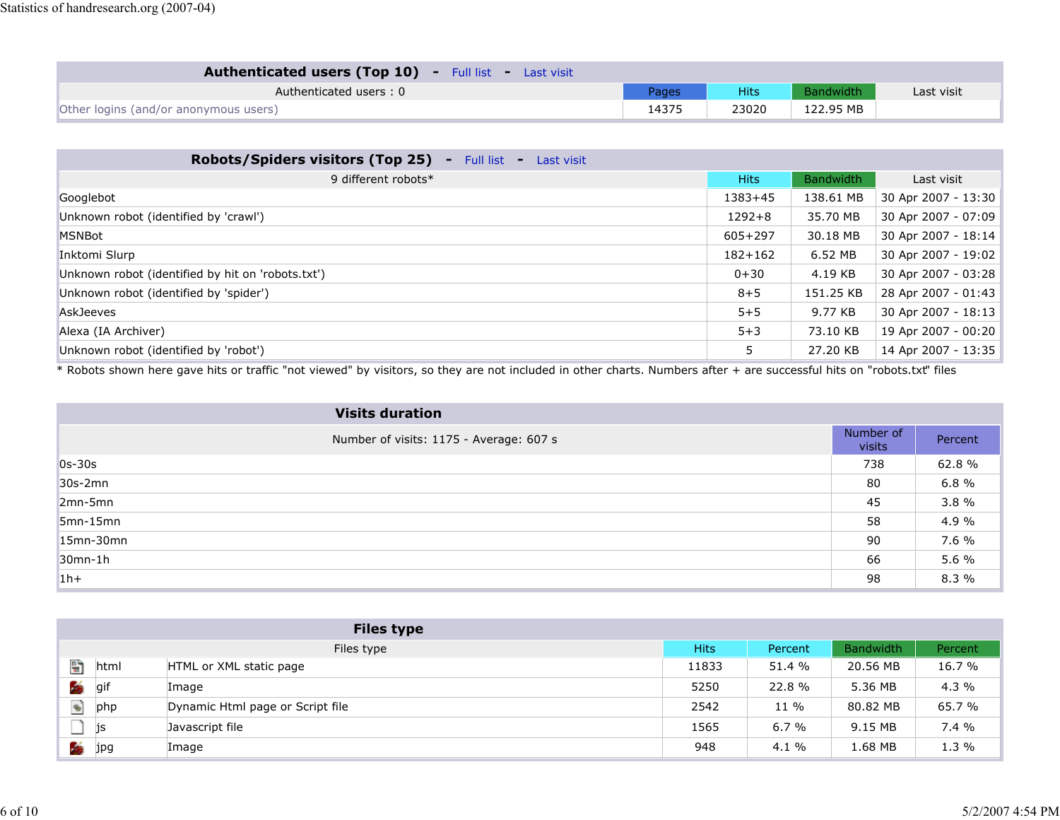| <b>Authenticated users (Top 10)</b> - Full list - Last visit |       |       |                  |            |
|--------------------------------------------------------------|-------|-------|------------------|------------|
| Authenticated users: 0                                       | Pages | Hits  | <b>Bandwidth</b> | Last visit |
| Other logins (and/or anonymous users)                        | 14375 | 23020 | 122.95 MB        |            |

| Robots/Spiders visitors (Top 25)<br>$-$ Full list $-$<br>Last visit |             |                  |                     |
|---------------------------------------------------------------------|-------------|------------------|---------------------|
| 9 different robots*                                                 | <b>Hits</b> | <b>Bandwidth</b> | Last visit          |
| Googlebot                                                           | $1383 + 45$ | 138.61 MB        | 30 Apr 2007 - 13:30 |
| Unknown robot (identified by 'crawl')                               | $1292 + 8$  | 35.70 MB         | 30 Apr 2007 - 07:09 |
| <b>MSNBot</b>                                                       | $605 + 297$ | 30.18 MB         | 30 Apr 2007 - 18:14 |
| Inktomi Slurp                                                       | $182 + 162$ | 6.52 MB          | 30 Apr 2007 - 19:02 |
| Unknown robot (identified by hit on 'robots.txt')                   | $0 + 30$    | 4.19 KB          | 30 Apr 2007 - 03:28 |
| Unknown robot (identified by 'spider')                              | $8 + 5$     | 151.25 KB        | 28 Apr 2007 - 01:43 |
| <b>AskJeeves</b>                                                    | $5 + 5$     | 9.77 KB          | 30 Apr 2007 - 18:13 |
| Alexa (IA Archiver)                                                 | $5 + 3$     | 73.10 KB         | 19 Apr 2007 - 00:20 |
| Unknown robot (identified by 'robot')                               | 5           | 27.20 KB         | 14 Apr 2007 - 13:35 |

\* Robots shown here gave hits or traffic "not viewed" by visitors, so they are not included in other charts. Numbers after + are successful hits on "robots.txt" files

| <b>Visits duration</b>                  |                     |         |
|-----------------------------------------|---------------------|---------|
| Number of visits: 1175 - Average: 607 s | Number of<br>visits | Percent |
| $0s-30s$                                | 738                 | 62.8%   |
| 30s-2mn                                 | 80                  | 6.8 %   |
| $2mn-5mn$                               | 45                  | 3.8%    |
| $5mn-15mn$                              | 58                  | 4.9 %   |
| 15mn-30mn                               | 90                  | 7.6 %   |
| $30mn-1h$                               | 66                  | 5.6 %   |
| $1h+$                                   | 98                  | 8.3 %   |

|        |      | <b>Files type</b>                |             |         |           |         |
|--------|------|----------------------------------|-------------|---------|-----------|---------|
|        |      | Files type                       | <b>Hits</b> | Percent | Bandwidth | Percent |
| 턥      | html | HTML or XML static page          | 11833       | 51.4 %  | 20.56 MB  | 16.7 %  |
| Б      | gif  | Image                            | 5250        | 22.8 %  | 5.36 MB   | $4.3\%$ |
| $\Phi$ | php  | Dynamic Html page or Script file | 2542        | 11 %    | 80.82 MB  | 65.7 %  |
|        | js   | Javascript file                  | 1565        | 6.7%    | 9.15 MB   | 7.4%    |
| K      | jpg  | Image                            | 948         | $4.1\%$ | 1.68 MB   | 1.3%    |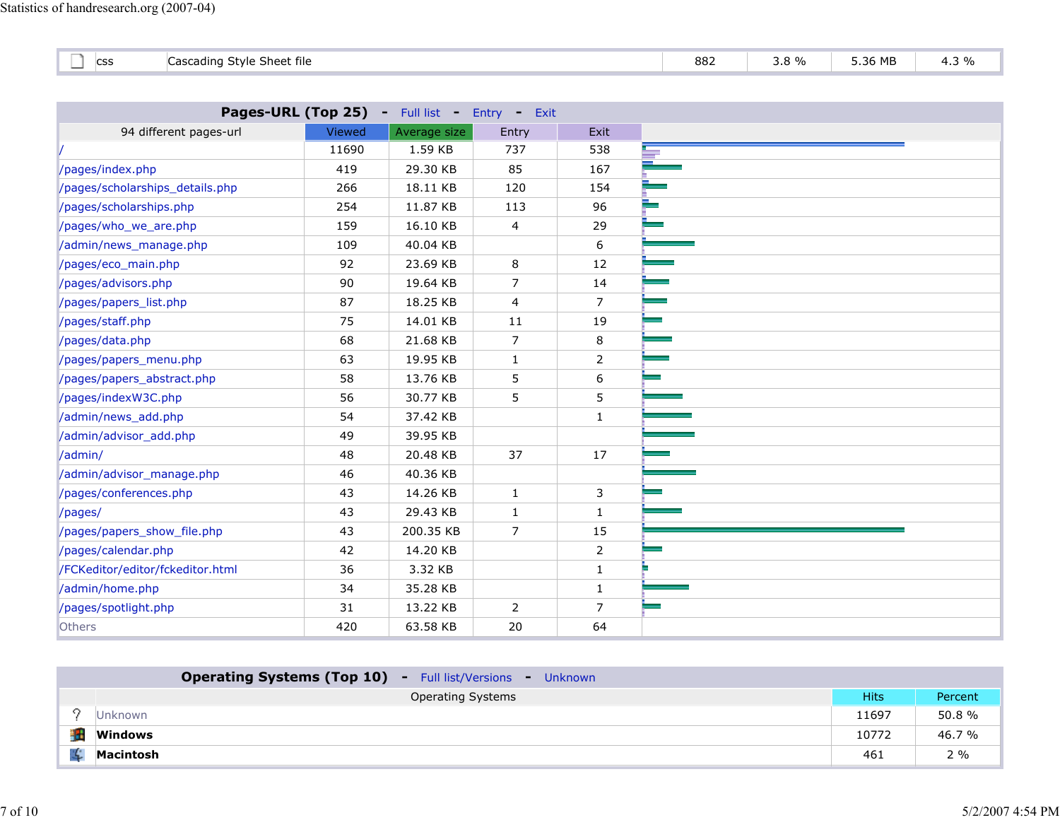| --<br>$\sim$<br>. .<br>$\sim$<br>-Stvie<br>. Sheef<br>Cascading<br>: file<br>. .<br>ີ<br>$\overline{\phantom{a}}$ | 882 | 0/2<br>-<br>$\overline{\phantom{a}}$<br>ں . | 5.36 MB | J |
|-------------------------------------------------------------------------------------------------------------------|-----|---------------------------------------------|---------|---|
|-------------------------------------------------------------------------------------------------------------------|-----|---------------------------------------------|---------|---|

|                                  |               | Pages-URL (Top 25) - Full list - Entry | $-$ Exit       |                |
|----------------------------------|---------------|----------------------------------------|----------------|----------------|
| 94 different pages-url           | <b>Viewed</b> | Average size                           | Entry          | Exit           |
|                                  | 11690         | 1.59 KB                                | 737            | 538            |
| /pages/index.php                 | 419           | 29.30 KB                               | 85             | 167            |
| /pages/scholarships_details.php  | 266           | 18.11 KB                               | 120            | 154            |
| /pages/scholarships.php          | 254           | 11.87 KB                               | 113            | 96             |
| /pages/who_we_are.php            | 159           | 16.10 KB                               | 4              | 29             |
| /admin/news_manage.php           | 109           | 40.04 KB                               |                | 6              |
| /pages/eco_main.php              | 92            | 23.69 KB                               | 8              | 12             |
| /pages/advisors.php              | 90            | 19.64 KB                               | $\overline{7}$ | 14             |
| /pages/papers_list.php           | 87            | 18.25 KB                               | $\overline{4}$ | $\overline{7}$ |
| /pages/staff.php                 | 75            | 14.01 KB                               | 11             | 19             |
| /pages/data.php                  | 68            | 21.68 KB                               | 7              | 8              |
| /pages/papers_menu.php           | 63            | 19.95 KB                               | $\mathbf{1}$   | $\overline{2}$ |
| /pages/papers_abstract.php       | 58            | 13.76 KB                               | 5              | 6              |
| /pages/indexW3C.php              | 56            | 30.77 KB                               | 5              | 5              |
| /admin/news_add.php              | 54            | 37.42 KB                               |                | $\mathbf{1}$   |
| /admin/advisor_add.php           | 49            | 39.95 KB                               |                |                |
| /admin/                          | 48            | 20.48 KB                               | 37             | 17             |
| /admin/advisor_manage.php        | 46            | 40.36 KB                               |                |                |
| /pages/conferences.php           | 43            | 14.26 KB                               | $\mathbf{1}$   | 3              |
| /pages/                          | 43            | 29.43 KB                               | $\mathbf{1}$   | $\mathbf{1}$   |
| /pages/papers_show_file.php      | 43            | 200.35 KB                              | $\overline{7}$ | 15             |
| /pages/calendar.php              | 42            | 14.20 KB                               |                | $\overline{2}$ |
| /FCKeditor/editor/fckeditor.html | 36            | 3.32 KB                                |                | $\mathbf{1}$   |
| /admin/home.php                  | 34            | 35.28 KB                               |                | $\mathbf{1}$   |
| /pages/spotlight.php             | 31            | 13.22 KB                               | $\overline{2}$ | $\overline{7}$ |
| Others                           | 420           | 63.58 KB                               | 20             | 64             |

| <b>Operating Systems (Top 10)</b> - Full list/Versions<br>- Unknown |             |         |
|---------------------------------------------------------------------|-------------|---------|
| <b>Operating Systems</b>                                            | <b>Hits</b> | Percent |
| Unknown                                                             | 11697       | 50.8%   |
| <b>Windows</b>                                                      | 10772       | 46.7 %  |
| Macintosh                                                           | 461         | 2 %     |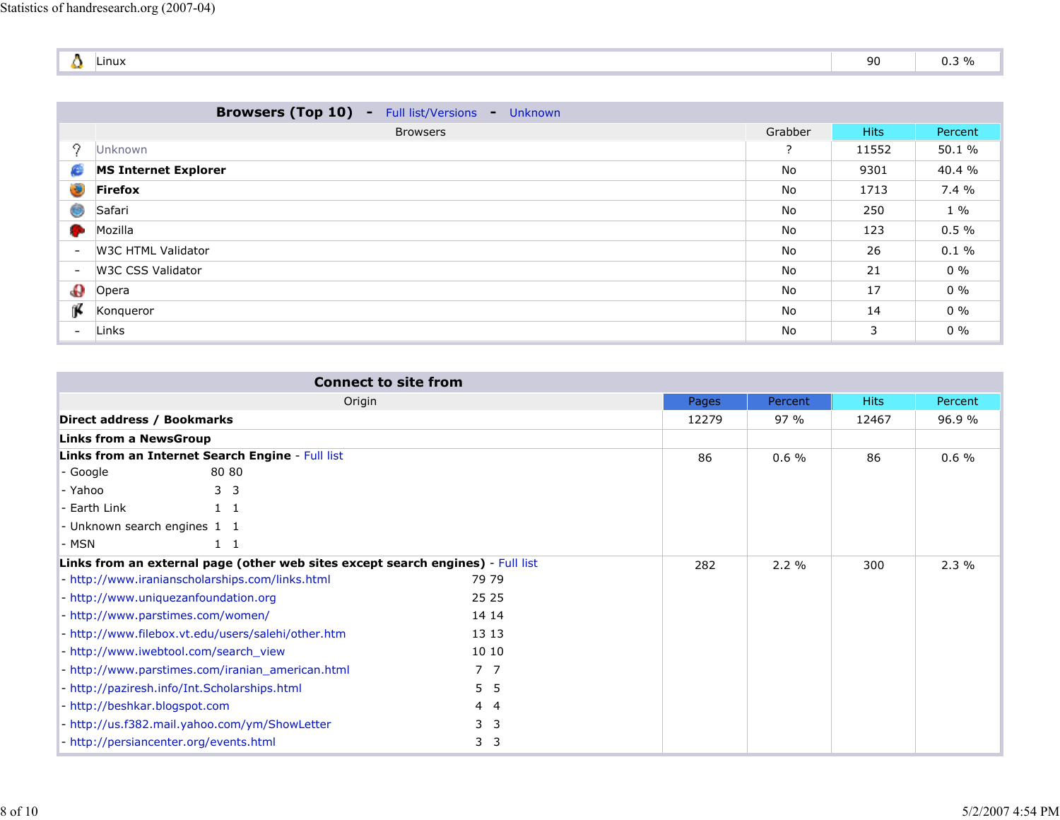| <b>COMPANY</b> | Linux | nn<br>. .<br>ンマ | 20 <sub>1</sub><br>-70<br>0. J 70 |
|----------------|-------|-----------------|-----------------------------------|

|                          | <b>Browsers (Top 10) -</b><br>Full list/Versions -<br>Unknown |         |             |          |
|--------------------------|---------------------------------------------------------------|---------|-------------|----------|
|                          | <b>Browsers</b>                                               | Grabber | <b>Hits</b> | Percent  |
| 9                        | Unknown                                                       | ?       | 11552       | 50.1 %   |
| c                        | <b>MS Internet Explorer</b>                                   | No      | 9301        | 40.4 %   |
| ۱                        | <b>Firefox</b>                                                | No      | 1713        | 7.4 %    |
| ⊜                        | Safari                                                        | No      | 250         | $1\%$    |
| <b>Septiment</b>         | Mozilla                                                       | No      | 123         | $0.5 \%$ |
| $\overline{\phantom{a}}$ | W3C HTML Validator                                            | No      | 26          | $0.1 \%$ |
| $\overline{\phantom{a}}$ | W3C CSS Validator                                             | No      | 21          | $0\%$    |
| $\mathbf{\Theta}$        | Opera                                                         | No      | 17          | $0\%$    |
| ĵ.                       | Kongueror                                                     | No      | 14          | $0\%$    |
| $\overline{\phantom{a}}$ | Links                                                         | No      | 3           | $0\%$    |

| <b>Connect to site from</b>                                                     |                              |       |          |       |         |
|---------------------------------------------------------------------------------|------------------------------|-------|----------|-------|---------|
| Origin                                                                          |                              | Pages | Percent  | Hits  | Percent |
| Direct address / Bookmarks                                                      |                              | 12279 | 97%      | 12467 | 96.9 %  |
| <b>Links from a NewsGroup</b>                                                   |                              |       |          |       |         |
| Links from an Internet Search Engine - Full list                                |                              | 86    | $0.6 \%$ | 86    | 0.6%    |
| 80 80<br>- Google                                                               |                              |       |          |       |         |
| - Yahoo<br>3 <sup>3</sup>                                                       |                              |       |          |       |         |
| - Earth Link<br>$1\quad1$                                                       |                              |       |          |       |         |
| - Unknown search engines 1 1                                                    |                              |       |          |       |         |
| - MSN<br>$1\quad1$                                                              |                              |       |          |       |         |
| Links from an external page (other web sites except search engines) - Full list |                              | 282   | 2.2%     | 300   | 2.3%    |
| - http://www.iranianscholarships.com/links.html                                 | 79 79                        |       |          |       |         |
| - http://www.uniquezanfoundation.org                                            | 25 25                        |       |          |       |         |
| - http://www.parstimes.com/women/                                               | 14 14                        |       |          |       |         |
| - http://www.filebox.vt.edu/users/salehi/other.htm                              | 13 13                        |       |          |       |         |
| - http://www.iwebtool.com/search_view                                           | 10 10                        |       |          |       |         |
| - http://www.parstimes.com/iranian_american.html                                | 7 7                          |       |          |       |         |
| - http://paziresh.info/Int.Scholarships.html                                    | 5 <sub>5</sub>               |       |          |       |         |
| - http://beshkar.blogspot.com                                                   | 44                           |       |          |       |         |
| - http://us.f382.mail.yahoo.com/ym/ShowLetter                                   | 3 <sub>3</sub>               |       |          |       |         |
| - http://persiancenter.org/events.html                                          | 3<br>$\overline{\mathbf{3}}$ |       |          |       |         |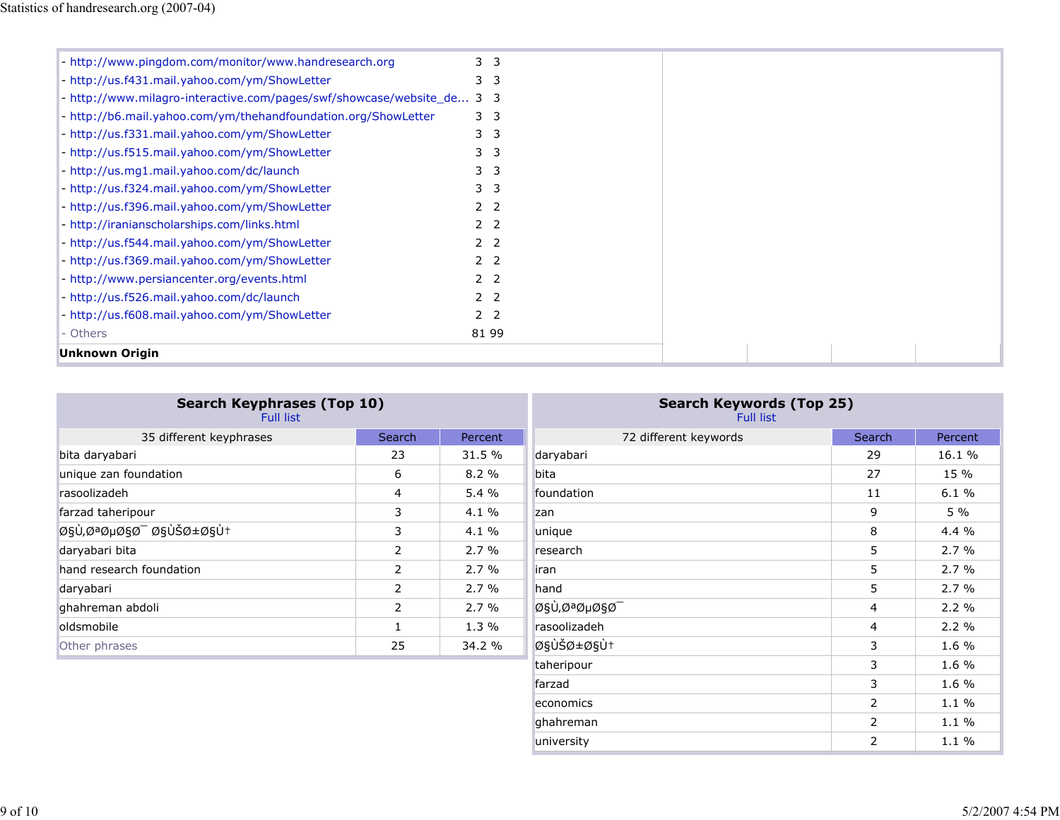| - http://www.pingdom.com/monitor/www.handresearch.org                  | 3 <sub>3</sub> |  |  |  |
|------------------------------------------------------------------------|----------------|--|--|--|
| - http://us.f431.mail.yahoo.com/ym/ShowLetter                          | 3 <sub>3</sub> |  |  |  |
| - http://www.milagro-interactive.com/pages/swf/showcase/website_de 3 3 |                |  |  |  |
| - http://b6.mail.yahoo.com/ym/thehandfoundation.org/ShowLetter         | 3 <sub>3</sub> |  |  |  |
| - http://us.f331.mail.yahoo.com/ym/ShowLetter                          | 3 <sub>3</sub> |  |  |  |
| - http://us.f515.mail.yahoo.com/ym/ShowLetter                          | 3 <sub>3</sub> |  |  |  |
| - http://us.mg1.mail.yahoo.com/dc/launch                               | 3 <sub>3</sub> |  |  |  |
| - http://us.f324.mail.yahoo.com/ym/ShowLetter                          | 3 <sub>3</sub> |  |  |  |
| - http://us.f396.mail.yahoo.com/ym/ShowLetter                          | 2 <sub>2</sub> |  |  |  |
| - http://iranianscholarships.com/links.html                            | 2 <sub>2</sub> |  |  |  |
| - http://us.f544.mail.yahoo.com/ym/ShowLetter                          | 2 <sub>2</sub> |  |  |  |
| - http://us.f369.mail.yahoo.com/ym/ShowLetter                          | 2 <sub>2</sub> |  |  |  |
| - http://www.persiancenter.org/events.html                             | 2 <sub>2</sub> |  |  |  |
| - http://us.f526.mail.yahoo.com/dc/launch                              | 2 <sub>2</sub> |  |  |  |
| - http://us.f608.mail.yahoo.com/ym/ShowLetter                          | 2 <sub>2</sub> |  |  |  |
| - Others                                                               | 81 99          |  |  |  |
| <b>Unknown Origin</b>                                                  |                |  |  |  |

| <b>Search Keyphrases (Top 10)</b><br><b>Full list</b> |                |          | <b>Search Keywords (Top 25)</b><br><b>Full list</b> |        |         |  |
|-------------------------------------------------------|----------------|----------|-----------------------------------------------------|--------|---------|--|
| 35 different keyphrases                               | Search         | Percent  | 72 different keywords                               | Search | Percent |  |
| bita daryabari                                        | 23             | 31.5 %   | daryabari                                           | 29     | 16.1 %  |  |
| unique zan foundation                                 | 6              | 8.2%     | bita                                                | 27     | 15 %    |  |
| rasoolizadeh                                          | 4              | 5.4%     | foundation                                          | 11     | 6.1%    |  |
| farzad taheripour                                     | 3              | $4.1 \%$ | zan                                                 | 9      | 5 %     |  |
| اÙ,ØªØµØ§Ø Ø§ÙŠØ±Ø§Ù†                                 | 3              | $4.1 \%$ | unique                                              | 8      | 4.4 %   |  |
| daryabari bita                                        | 2              | 2.7%     | research                                            | 5      | 2.7%    |  |
| hand research foundation                              | $\overline{2}$ | 2.7%     | iran                                                | 5      | 2.7%    |  |
| daryabari                                             | $\overline{2}$ | 2.7%     | hand                                                | 5      | 2.7%    |  |
| ghahreman abdoli                                      | 2              | 2.7%     | اÙ,تصاØ                                             | 4      | 2.2%    |  |
| oldsmobile                                            |                | 1.3%     | rasoolizadeh                                        | 4      | 2.2%    |  |
| Other phrases                                         | 25             | 34.2 %   | ايران                                               | 3      | 1.6 %   |  |
|                                                       |                |          | taheripour                                          | 3      | 1.6%    |  |

farzad  $1.6\ \%$ 

ghahreman 2 1.1 % university 2 1.1 %

economics 22.1 % and 22.1 % and 22.1 % and 22.1 % and 22.1 % and 22.1 % and 22.1 % and 22.1 % and 22.1 % and 22.1 % and 22.1 % and 22.1 % and 22.1 % and 22.1 % and 22.1 % and 22.1 % and 22.1 % and 22.1 % and 22.1 % and 22.

1.6 %

 $1.1~\%$